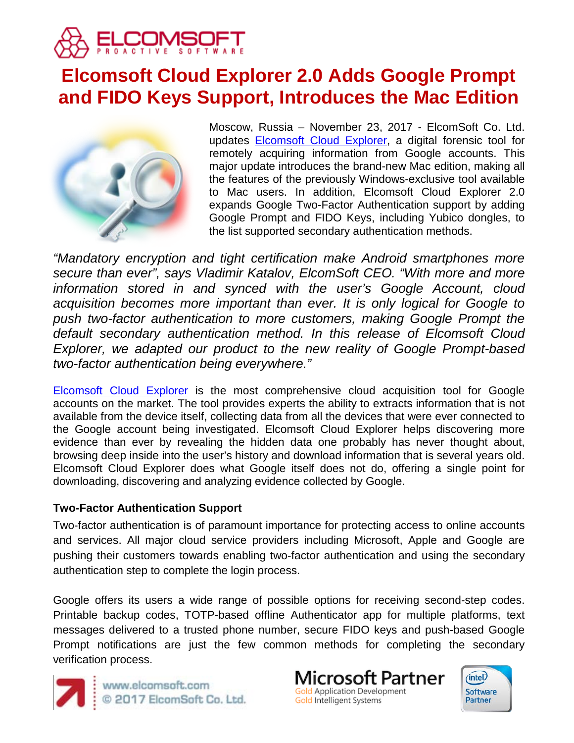

# **Elcomsoft Cloud Explorer 2.0 Adds Google Prompt and FIDO Keys Support, Introduces the Mac Edition**



Moscow, Russia – November 23, 2017 - ElcomSoft Co. Ltd. updates [Elcomsoft Cloud Explorer,](https://www.elcomsoft.com/ecx.html) a digital forensic tool for remotely acquiring information from Google accounts. This major update introduces the brand-new Mac edition, making all the features of the previously Windows-exclusive tool available to Mac users. In addition, Elcomsoft Cloud Explorer 2.0 expands Google Two-Factor Authentication support by adding Google Prompt and FIDO Keys, including Yubico dongles, to the list supported secondary authentication methods.

*"Mandatory encryption and tight certification make Android smartphones more secure than ever", says Vladimir Katalov, ElcomSoft CEO. "With more and more information stored in and synced with the user's Google Account, cloud acquisition becomes more important than ever. It is only logical for Google to push two-factor authentication to more customers, making Google Prompt the default secondary authentication method. In this release of Elcomsoft Cloud Explorer, we adapted our product to the new reality of Google Prompt-based two-factor authentication being everywhere."*

[Elcomsoft Cloud Explorer](https://www.elcomsoft.com/ecx.html) is the most comprehensive cloud acquisition tool for Google accounts on the market. The tool provides experts the ability to extracts information that is not available from the device itself, collecting data from all the devices that were ever connected to the Google account being investigated. Elcomsoft Cloud Explorer helps discovering more evidence than ever by revealing the hidden data one probably has never thought about, browsing deep inside into the user's history and download information that is several years old. Elcomsoft Cloud Explorer does what Google itself does not do, offering a single point for downloading, discovering and analyzing evidence collected by Google.

## **Two-Factor Authentication Support**

Two-factor authentication is of paramount importance for protecting access to online accounts and services. All major cloud service providers including Microsoft, Apple and Google are pushing their customers towards enabling two-factor authentication and using the secondary authentication step to complete the login process.

Google offers its users a wide range of possible options for receiving second-step codes. Printable backup codes, TOTP-based offline Authenticator app for multiple platforms, text messages delivered to a trusted phone number, secure FIDO keys and push-based Google Prompt notifications are just the few common methods for completing the secondary verification process.



www.elcomsoft.com © 2017 ElcomSoft Co. Ltd.

Microsoft Partner **Gold Application Development** Gold Intelligent Systems

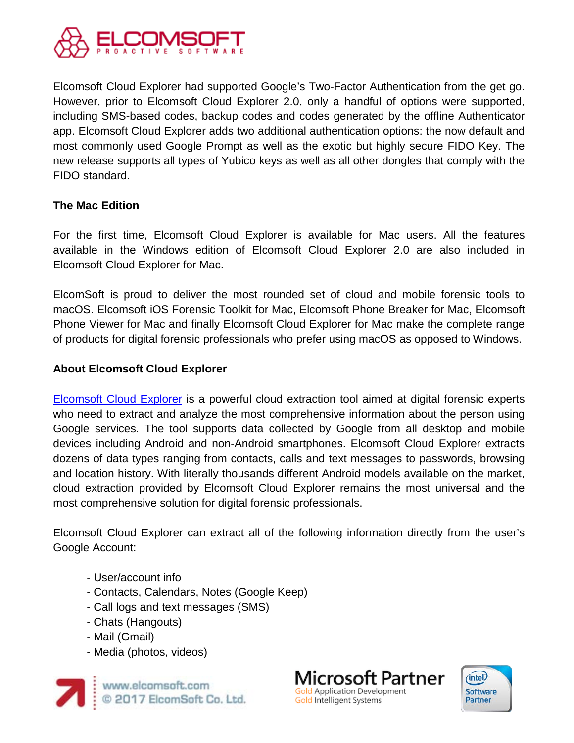

Elcomsoft Cloud Explorer had supported Google's Two-Factor Authentication from the get go. However, prior to Elcomsoft Cloud Explorer 2.0, only a handful of options were supported, including SMS-based codes, backup codes and codes generated by the offline Authenticator app. Elcomsoft Cloud Explorer adds two additional authentication options: the now default and most commonly used Google Prompt as well as the exotic but highly secure FIDO Key. The new release supports all types of Yubico keys as well as all other dongles that comply with the FIDO standard.

# **The Mac Edition**

For the first time, Elcomsoft Cloud Explorer is available for Mac users. All the features available in the Windows edition of Elcomsoft Cloud Explorer 2.0 are also included in Elcomsoft Cloud Explorer for Mac.

ElcomSoft is proud to deliver the most rounded set of cloud and mobile forensic tools to macOS. Elcomsoft iOS Forensic Toolkit for Mac, Elcomsoft Phone Breaker for Mac, Elcomsoft Phone Viewer for Mac and finally Elcomsoft Cloud Explorer for Mac make the complete range of products for digital forensic professionals who prefer using macOS as opposed to Windows.

## **About Elcomsoft Cloud Explorer**

[Elcomsoft Cloud Explorer](https://www.elcomsoft.com/ecx.html) is a powerful cloud extraction tool aimed at digital forensic experts who need to extract and analyze the most comprehensive information about the person using Google services. The tool supports data collected by Google from all desktop and mobile devices including Android and non-Android smartphones. Elcomsoft Cloud Explorer extracts dozens of data types ranging from contacts, calls and text messages to passwords, browsing and location history. With literally thousands different Android models available on the market, cloud extraction provided by Elcomsoft Cloud Explorer remains the most universal and the most comprehensive solution for digital forensic professionals.

Elcomsoft Cloud Explorer can extract all of the following information directly from the user's Google Account:

- User/account info
- Contacts, Calendars, Notes (Google Keep)
- Call logs and text messages (SMS)
- Chats (Hangouts)
- Mail (Gmail)
- Media (photos, videos)